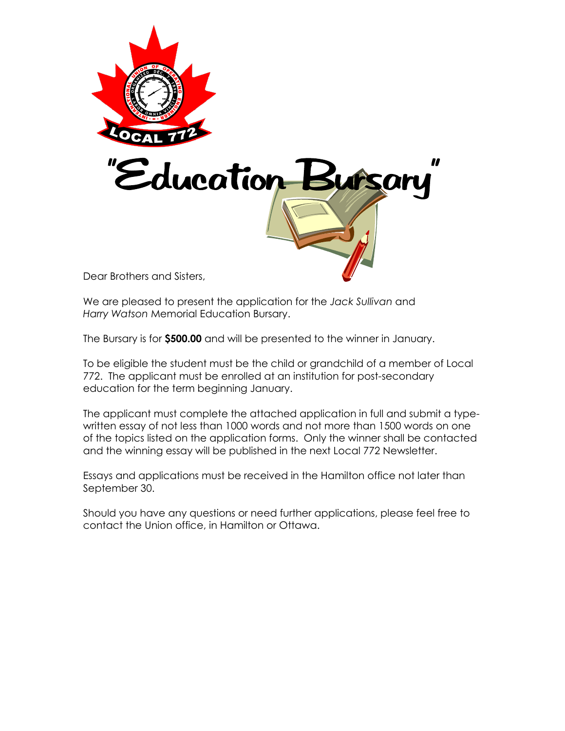

We are pleased to present the application for the *Jack Sullivan* and *Harry Watson* Memorial Education Bursary.

The Bursary is for **\$500.00** and will be presented to the winner in January.

To be eligible the student must be the child or grandchild of a member of Local 772. The applicant must be enrolled at an institution for post-secondary education for the term beginning January.

The applicant must complete the attached application in full and submit a typewritten essay of not less than 1000 words and not more than 1500 words on one of the topics listed on the application forms. Only the winner shall be contacted and the winning essay will be published in the next Local 772 Newsletter.

Essays and applications must be received in the Hamilton office not later than September 30.

Should you have any questions or need further applications, please feel free to contact the Union office, in Hamilton or Ottawa.